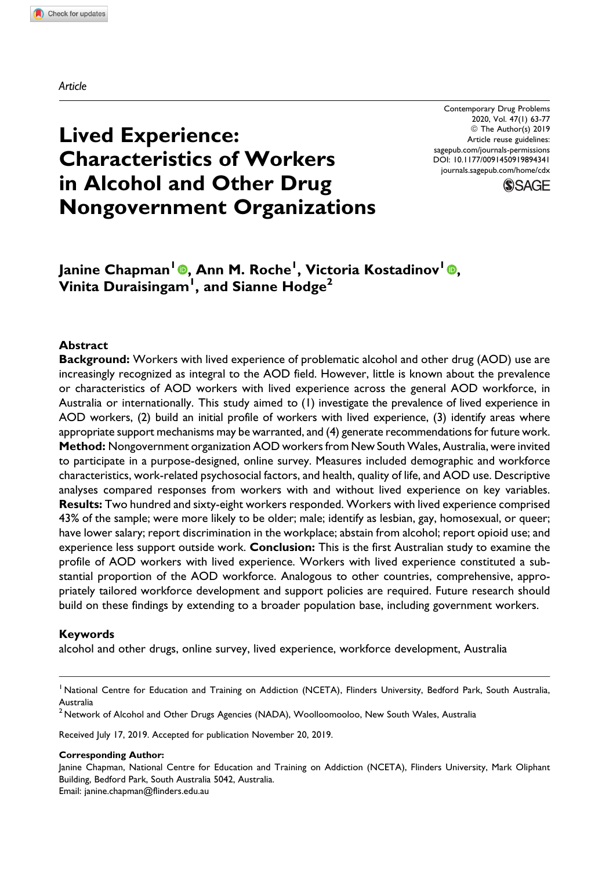Contemporary Drug Problems 2020, Vol. 47(1) 63-77 © The Author(s) 2019 Article reuse guidelines: [sagepub.com/journals-permissions](https://sagepub.com/journals-permissions) [DOI: 10.1177/0091450919894341](https://doi.org/10.1177/0091450919894341) [journals.sagepub.com/home/cdx](http://journals.sagepub.com/home/cdx)



# Lived Experience: Characteristics of Workers in Alcohol and Other Drug Nongovernment Organizations

# Janine Chapman<sup>1</sup> , Ann M. Roche<sup>1</sup> , Victoria Kostadinov<sup>1</sup> ,  $\mathsf{V}$ inita Duraisingam $^{\mathsf{l}}$ , and Sianne Hodge $^{\mathsf{2}}$

#### Abstract

**Background:** Workers with lived experience of problematic alcohol and other drug (AOD) use are increasingly recognized as integral to the AOD field. However, little is known about the prevalence or characteristics of AOD workers with lived experience across the general AOD workforce, in Australia or internationally. This study aimed to (1) investigate the prevalence of lived experience in AOD workers, (2) build an initial profile of workers with lived experience, (3) identify areas where appropriate support mechanisms may be warranted, and (4) generate recommendations for future work. Method: Nongovernment organization AOD workers from New South Wales, Australia, were invited to participate in a purpose-designed, online survey. Measures included demographic and workforce characteristics, work-related psychosocial factors, and health, quality of life, and AOD use. Descriptive analyses compared responses from workers with and without lived experience on key variables. Results: Two hundred and sixty-eight workers responded. Workers with lived experience comprised 43% of the sample; were more likely to be older; male; identify as lesbian, gay, homosexual, or queer; have lower salary; report discrimination in the workplace; abstain from alcohol; report opioid use; and experience less support outside work. **Conclusion:** This is the first Australian study to examine the profile of AOD workers with lived experience. Workers with lived experience constituted a substantial proportion of the AOD workforce. Analogous to other countries, comprehensive, appropriately tailored workforce development and support policies are required. Future research should build on these findings by extending to a broader population base, including government workers.

#### Keywords

alcohol and other drugs, online survey, lived experience, workforce development, Australia

Received July 17, 2019. Accepted for publication November 20, 2019.

Corresponding Author:

<sup>&</sup>lt;sup>1</sup> National Centre for Education and Training on Addiction (NCETA), Flinders University, Bedford Park, South Australia, Australia

 $2$  Network of Alcohol and Other Drugs Agencies (NADA), Woolloomooloo, New South Wales, Australia

Janine Chapman, National Centre for Education and Training on Addiction (NCETA), Flinders University, Mark Oliphant Building, Bedford Park, South Australia 5042, Australia. Email: [janine.chapman@flinders.edu.au](mailto:janine.chapman@flinders.edu.au)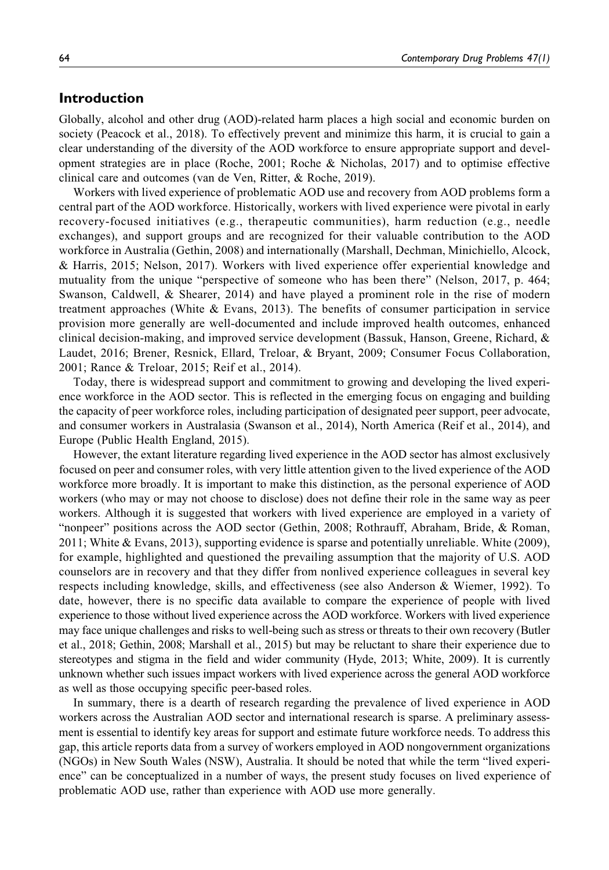# Introduction

Globally, alcohol and other drug (AOD)-related harm places a high social and economic burden on society (Peacock et al., 2018). To effectively prevent and minimize this harm, it is crucial to gain a clear understanding of the diversity of the AOD workforce to ensure appropriate support and development strategies are in place (Roche, 2001; Roche & Nicholas, 2017) and to optimise effective clinical care and outcomes (van de Ven, Ritter, & Roche, 2019).

Workers with lived experience of problematic AOD use and recovery from AOD problems form a central part of the AOD workforce. Historically, workers with lived experience were pivotal in early recovery-focused initiatives (e.g., therapeutic communities), harm reduction (e.g., needle exchanges), and support groups and are recognized for their valuable contribution to the AOD workforce in Australia (Gethin, 2008) and internationally (Marshall, Dechman, Minichiello, Alcock, & Harris, 2015; Nelson, 2017). Workers with lived experience offer experiential knowledge and mutuality from the unique "perspective of someone who has been there" (Nelson, 2017, p. 464; Swanson, Caldwell, & Shearer, 2014) and have played a prominent role in the rise of modern treatment approaches (White & Evans, 2013). The benefits of consumer participation in service provision more generally are well-documented and include improved health outcomes, enhanced clinical decision-making, and improved service development (Bassuk, Hanson, Greene, Richard, & Laudet, 2016; Brener, Resnick, Ellard, Treloar, & Bryant, 2009; Consumer Focus Collaboration, 2001; Rance & Treloar, 2015; Reif et al., 2014).

Today, there is widespread support and commitment to growing and developing the lived experience workforce in the AOD sector. This is reflected in the emerging focus on engaging and building the capacity of peer workforce roles, including participation of designated peer support, peer advocate, and consumer workers in Australasia (Swanson et al., 2014), North America (Reif et al., 2014), and Europe (Public Health England, 2015).

However, the extant literature regarding lived experience in the AOD sector has almost exclusively focused on peer and consumer roles, with very little attention given to the lived experience of the AOD workforce more broadly. It is important to make this distinction, as the personal experience of AOD workers (who may or may not choose to disclose) does not define their role in the same way as peer workers. Although it is suggested that workers with lived experience are employed in a variety of "nonpeer" positions across the AOD sector (Gethin, 2008; Rothrauff, Abraham, Bride, & Roman, 2011; White & Evans, 2013), supporting evidence is sparse and potentially unreliable. White (2009), for example, highlighted and questioned the prevailing assumption that the majority of U.S. AOD counselors are in recovery and that they differ from nonlived experience colleagues in several key respects including knowledge, skills, and effectiveness (see also Anderson & Wiemer, 1992). To date, however, there is no specific data available to compare the experience of people with lived experience to those without lived experience across the AOD workforce. Workers with lived experience may face unique challenges and risks to well-being such as stress or threats to their own recovery (Butler et al., 2018; Gethin, 2008; Marshall et al., 2015) but may be reluctant to share their experience due to stereotypes and stigma in the field and wider community (Hyde, 2013; White, 2009). It is currently unknown whether such issues impact workers with lived experience across the general AOD workforce as well as those occupying specific peer-based roles.

In summary, there is a dearth of research regarding the prevalence of lived experience in AOD workers across the Australian AOD sector and international research is sparse. A preliminary assessment is essential to identify key areas for support and estimate future workforce needs. To address this gap, this article reports data from a survey of workers employed in AOD nongovernment organizations (NGOs) in New South Wales (NSW), Australia. It should be noted that while the term "lived experience" can be conceptualized in a number of ways, the present study focuses on lived experience of problematic AOD use, rather than experience with AOD use more generally.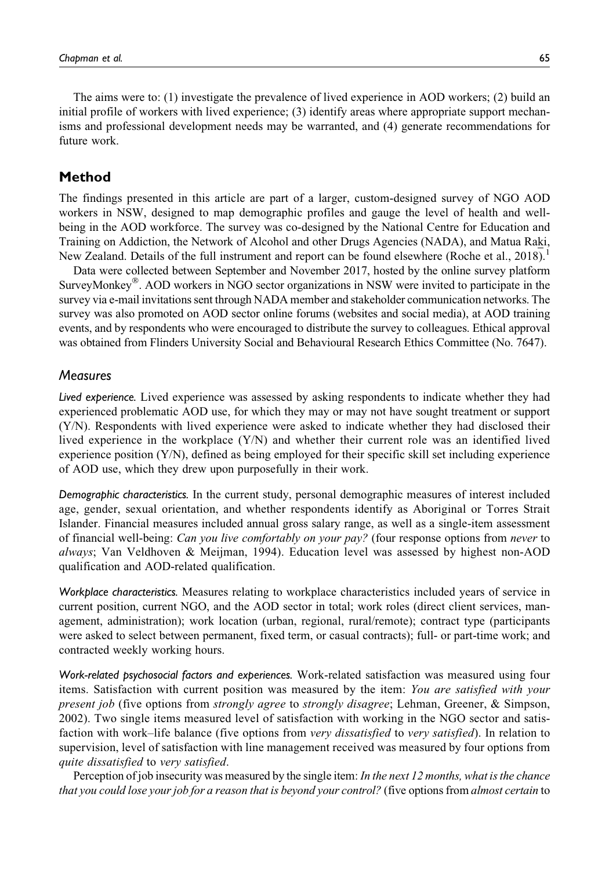The aims were to: (1) investigate the prevalence of lived experience in AOD workers; (2) build an initial profile of workers with lived experience; (3) identify areas where appropriate support mechanisms and professional development needs may be warranted, and (4) generate recommendations for future work.

# Method

The findings presented in this article are part of a larger, custom-designed survey of NGO AOD workers in NSW, designed to map demographic profiles and gauge the level of health and wellbeing in the AOD workforce. The survey was co-designed by the National Centre for Education and Training on Addiction, the Network of Alcohol and other Drugs Agencies (NADA), and Matua Raki, New Zealand. Details of the full instrument and report can be found elsewhere (Roche et al., 2018).<sup>1</sup>

Data were collected between September and November 2017, hosted by the online survey platform SurveyMonkey<sup>®</sup>. AOD workers in NGO sector organizations in NSW were invited to participate in the survey via e-mail invitations sent through NADA member and stakeholder communication networks. The survey was also promoted on AOD sector online forums (websites and social media), at AOD training events, and by respondents who were encouraged to distribute the survey to colleagues. Ethical approval was obtained from Flinders University Social and Behavioural Research Ethics Committee (No. 7647).

### **Measures**

Lived experience. Lived experience was assessed by asking respondents to indicate whether they had experienced problematic AOD use, for which they may or may not have sought treatment or support (Y/N). Respondents with lived experience were asked to indicate whether they had disclosed their lived experience in the workplace (Y/N) and whether their current role was an identified lived experience position (Y/N), defined as being employed for their specific skill set including experience of AOD use, which they drew upon purposefully in their work.

Demographic characteristics. In the current study, personal demographic measures of interest included age, gender, sexual orientation, and whether respondents identify as Aboriginal or Torres Strait Islander. Financial measures included annual gross salary range, as well as a single-item assessment of financial well-being: *Can you live comfortably on your pay?* (four response options from *never* to always; Van Veldhoven & Meijman, 1994). Education level was assessed by highest non-AOD qualification and AOD-related qualification.

Workplace characteristics. Measures relating to workplace characteristics included years of service in current position, current NGO, and the AOD sector in total; work roles (direct client services, management, administration); work location (urban, regional, rural/remote); contract type (participants were asked to select between permanent, fixed term, or casual contracts); full- or part-time work; and contracted weekly working hours.

Work-related psychosocial factors and experiences. Work-related satisfaction was measured using four items. Satisfaction with current position was measured by the item: You are satisfied with your present job (five options from *strongly agree* to *strongly disagree*; Lehman, Greener, & Simpson, 2002). Two single items measured level of satisfaction with working in the NGO sector and satisfaction with work–life balance (five options from very dissatisfied to very satisfied). In relation to supervision, level of satisfaction with line management received was measured by four options from quite dissatisfied to very satisfied.

Perception of job insecurity was measured by the single item: In the next 12 months, what is the chance that you could lose your job for a reason that is beyond your control? (five options from almost certain to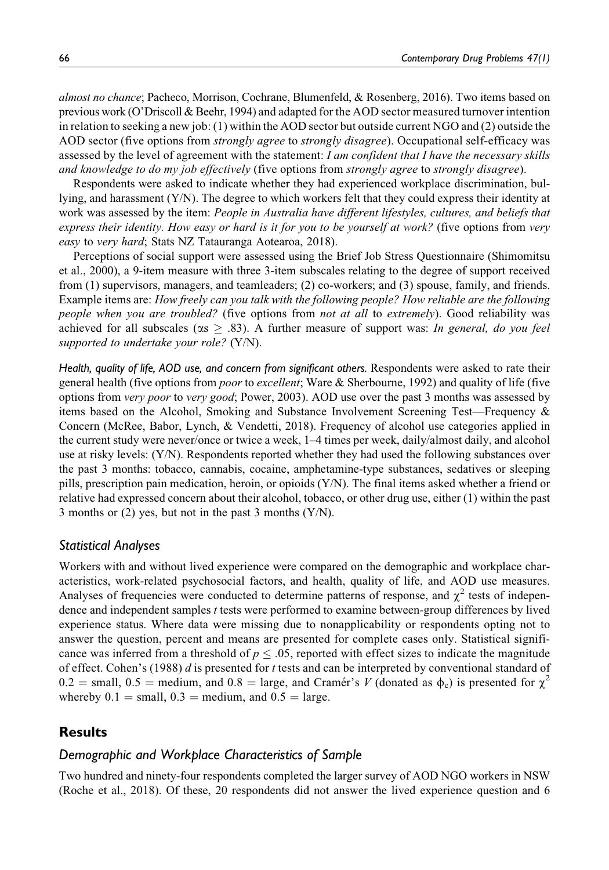almost no chance; Pacheco, Morrison, Cochrane, Blumenfeld, & Rosenberg, 2016). Two items based on previous work (O'Driscoll & Beehr, 1994) and adapted for the AOD sector measured turnover intention in relation to seeking a new job: (1) within the AOD sector but outside current NGO and (2) outside the AOD sector (five options from *strongly agree* to *strongly disagree*). Occupational self-efficacy was assessed by the level of agreement with the statement: I am confident that I have the necessary skills and knowledge to do my job effectively (five options from strongly agree to strongly disagree).

Respondents were asked to indicate whether they had experienced workplace discrimination, bullying, and harassment (Y/N). The degree to which workers felt that they could express their identity at work was assessed by the item: People in Australia have different lifestyles, cultures, and beliefs that express their identity. How easy or hard is it for you to be yourself at work? (five options from very easy to very hard; Stats NZ Tatauranga Aotearoa, 2018).

Perceptions of social support were assessed using the Brief Job Stress Questionnaire (Shimomitsu et al., 2000), a 9-item measure with three 3-item subscales relating to the degree of support received from (1) supervisors, managers, and teamleaders; (2) co-workers; and (3) spouse, family, and friends. Example items are: How freely can you talk with the following people? How reliable are the following people when you are troubled? (five options from not at all to extremely). Good reliability was achieved for all subscales ( $\alpha s \geq .83$ ). A further measure of support was: In general, do you feel supported to undertake your role? (Y/N).

Health, quality of life, AOD use, and concern from significant others. Respondents were asked to rate their general health (five options from poor to excellent; Ware & Sherbourne, 1992) and quality of life (five options from very poor to very good; Power, 2003). AOD use over the past 3 months was assessed by items based on the Alcohol, Smoking and Substance Involvement Screening Test—Frequency & Concern (McRee, Babor, Lynch, & Vendetti, 2018). Frequency of alcohol use categories applied in the current study were never/once or twice a week, 1–4 times per week, daily/almost daily, and alcohol use at risky levels: (Y/N). Respondents reported whether they had used the following substances over the past 3 months: tobacco, cannabis, cocaine, amphetamine-type substances, sedatives or sleeping pills, prescription pain medication, heroin, or opioids (Y/N). The final items asked whether a friend or relative had expressed concern about their alcohol, tobacco, or other drug use, either (1) within the past 3 months or (2) yes, but not in the past 3 months (Y/N).

# Statistical Analyses

Workers with and without lived experience were compared on the demographic and workplace characteristics, work-related psychosocial factors, and health, quality of life, and AOD use measures. Analyses of frequencies were conducted to determine patterns of response, and  $\chi^2$  tests of independence and independent samples t tests were performed to examine between-group differences by lived experience status. Where data were missing due to nonapplicability or respondents opting not to answer the question, percent and means are presented for complete cases only. Statistical significance was inferred from a threshold of  $p \leq 0.05$ , reported with effect sizes to indicate the magnitude of effect. Cohen's (1988)  $d$  is presented for t tests and can be interpreted by conventional standard of  $0.2 = \text{small}, 0.5 = \text{medium}, \text{and } 0.8 = \text{large}, \text{and } \text{Cramér's } V \text{ (donated as } \varphi_c) \text{ is presented for } \chi^2$ whereby  $0.1 = \text{small}, 0.3 = \text{medium}, \text{and } 0.5 = \text{large}.$ 

# **Results**

# Demographic and Workplace Characteristics of Sample

Two hundred and ninety-four respondents completed the larger survey of AOD NGO workers in NSW (Roche et al., 2018). Of these, 20 respondents did not answer the lived experience question and 6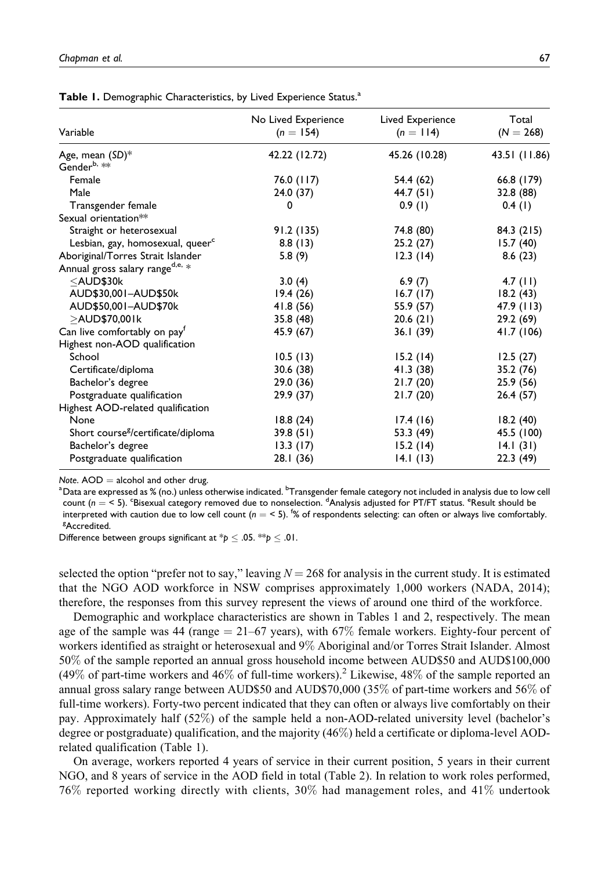| Variable                                       | No Lived Experience<br>$(n = 154)$ | Lived Experience<br>$(n = 114)$ | Total<br>$(N = 268)$ |  |
|------------------------------------------------|------------------------------------|---------------------------------|----------------------|--|
| Age, mean $(SD)^*$                             | 42.22 (12.72)                      | 45.26 (10.28)                   | 43.51 (11.86)        |  |
| Gender <sup>b, **</sup>                        |                                    |                                 |                      |  |
| Female                                         | 76.0 (117)                         | 54.4 (62)                       | 66.8 (179)           |  |
| Male                                           | 24.0 (37)                          | 44.7 (51)                       | 32.8 (88)            |  |
| Transgender female                             | 0                                  | 0.9(1)                          | 0.4(1)               |  |
| Sexual orientation <sup>**</sup>               |                                    |                                 |                      |  |
| Straight or heterosexual                       | 91.2(135)                          | 74.8 (80)                       | 84.3 (215)           |  |
| Lesbian, gay, homosexual, queer <sup>c</sup>   | 8.8(13)                            | 25.2(27)                        | 15.7(40)             |  |
| Aboriginal/Torres Strait Islander              | 5.8(9)                             | 12.3(14)                        | 8.6(23)              |  |
| Annual gross salary ranged,e, *                |                                    |                                 |                      |  |
| $<$ AUD\$30 $k$                                | 3.0(4)                             | 6.9 $(7)$                       | 4.7 $(11)$           |  |
| AUD\$30,001-AUD\$50k                           | 19.4(26)                           | 16.7(17)                        | 18.2(43)             |  |
| AUD\$50,001-AUD\$70k                           | 41.8(56)                           | 55.9 (57)                       | 47.9 (113)           |  |
| $\geq$ AUD\$70,001k                            | 35.8 (48)                          | 20.6(21)                        | 29.2(69)             |  |
| Can live comfortably on pay <sup>t</sup>       | 45.9 (67)                          | 36.I (39)                       | 41.7 (106)           |  |
| Highest non-AOD qualification                  |                                    |                                 |                      |  |
| School                                         | 10.5(13)                           | 15.2(14)                        | 12.5(27)             |  |
| Certificate/diploma                            | 30.6 (38)                          | 41.3 (38)                       | 35.2 (76)            |  |
| Bachelor's degree                              | 29.0 (36)                          | 21.7(20)                        | 25.9(56)             |  |
| Postgraduate qualification                     | 29.9 (37)                          | 21.7(20)                        | 26.4(57)             |  |
| Highest AOD-related qualification              |                                    |                                 |                      |  |
| None                                           | 18.8(24)                           | 17.4(16)                        | 18.2(40)             |  |
| Short course <sup>g</sup> /certificate/diploma | 39.8(51)                           | 53.3 (49)                       | 45.5 (100)           |  |
| Bachelor's degree                              | 13.3(17)                           | 15.2(14)                        | 14.1(31)             |  |
| Postgraduate qualification                     | 28.I (36)                          | 14.1(13)                        | 22.3 (49)            |  |

|  | Table 1. Demographic Characteristics, by Lived Experience Status. <sup>a</sup> |  |  |
|--|--------------------------------------------------------------------------------|--|--|
|  |                                                                                |  |  |

Note.  $AOD =$  alcohol and other drug.

Data are expressed as % (no.) unless otherwise indicated. <sup>b</sup>Transgender female category not included in analysis due to low cell count ( $n=<$  5). <sup>c</sup>Bisexual category removed due to nonselection. <sup>d</sup>Analysis adjusted for PT/FT status. <sup>e</sup>Result should be interpreted with caution due to low cell count ( $n = < 5$ ). <sup>f</sup>% of respondents selecting: can often or always live comfortably.<br><sup>8</sup>Accredited Accredited.

Difference between groups significant at \*p  $\leq$  .05. \*\*p  $\leq$  .01.

selected the option "prefer not to say," leaving  $N = 268$  for analysis in the current study. It is estimated that the NGO AOD workforce in NSW comprises approximately 1,000 workers (NADA, 2014); therefore, the responses from this survey represent the views of around one third of the workforce.

Demographic and workplace characteristics are shown in Tables 1 and 2, respectively. The mean age of the sample was 44 (range  $= 21-67$  years), with 67% female workers. Eighty-four percent of workers identified as straight or heterosexual and 9% Aboriginal and/or Torres Strait Islander. Almost 50% of the sample reported an annual gross household income between AUD\$50 and AUD\$100,000 (49% of part-time workers and 46% of full-time workers).<sup>2</sup> Likewise, 48% of the sample reported an annual gross salary range between AUD\$50 and AUD\$70,000 (35% of part-time workers and 56% of full-time workers). Forty-two percent indicated that they can often or always live comfortably on their pay. Approximately half (52%) of the sample held a non-AOD-related university level (bachelor's degree or postgraduate) qualification, and the majority (46%) held a certificate or diploma-level AODrelated qualification (Table 1).

On average, workers reported 4 years of service in their current position, 5 years in their current NGO, and 8 years of service in the AOD field in total (Table 2). In relation to work roles performed, 76% reported working directly with clients, 30% had management roles, and 41% undertook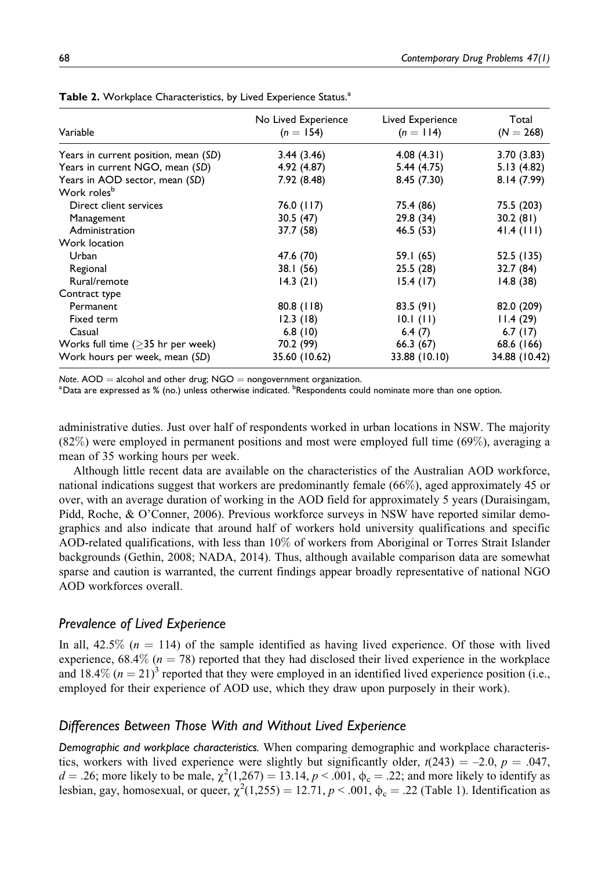|                                      | No Lived Experience | Lived Experience | Total         |
|--------------------------------------|---------------------|------------------|---------------|
| Variable                             | $(n = 154)$         | $(n = 114)$      | $(N = 268)$   |
| Years in current position, mean (SD) | 3.44(3.46)          | 4.08(4.31)       | 3.70(3.83)    |
| Years in current NGO, mean (SD)      | 4.92 (4.87)         | 5.44 (4.75)      | 5.13(4.82)    |
| Years in AOD sector, mean (SD)       | 7.92 (8.48)         | 8.45(7.30)       | 8.14(7.99)    |
| Work roles <sup>b</sup>              |                     |                  |               |
| Direct client services               | 76.0 (117)          | 75.4 (86)        | 75.5 (203)    |
| Management                           | 30.5(47)            | 29.8 (34)        | 30.2(81)      |
| Administration                       | 37.7 (58)           | 46.5 (53)        | $41.4$ (111)  |
| Work location                        |                     |                  |               |
| Urban                                | 47.6 (70)           | 59.I (65)        | 52.5 (135)    |
| Regional                             | 38.I (56)           | 25.5(28)         | 32.7 (84)     |
| Rural/remote                         | 14.3(21)            | 15.4(17)         | 14.8(38)      |
| Contract type                        |                     |                  |               |
| Permanent                            | 80.8(118)           | 83.5(91)         | 82.0 (209)    |
| Fixed term                           | 12.3(18)            | $10.1$ (11)      | 11.4(29)      |
| Casual                               | 6.8(10)             | 6.4(7)           | 6.7(17)       |
| Works full time $(>35$ hr per week)  | 70.2 (99)           | 66.3 (67)        | 68.6 (166)    |
| Work hours per week, mean (SD)       | 35.60 (10.62)       | 33.88 (10.10)    | 34.88 (10.42) |

Table 2. Workplace Characteristics, by Lived Experience Status.<sup>a</sup>

Note.  $AOD =$  alcohol and other drug;  $NGO =$  nongovernment organization.

Data are expressed as % (no.) unless otherwise indicated. <sup>b</sup>Respondents could nominate more than one option.

administrative duties. Just over half of respondents worked in urban locations in NSW. The majority (82%) were employed in permanent positions and most were employed full time (69%), averaging a mean of 35 working hours per week.

Although little recent data are available on the characteristics of the Australian AOD workforce, national indications suggest that workers are predominantly female (66%), aged approximately 45 or over, with an average duration of working in the AOD field for approximately 5 years (Duraisingam, Pidd, Roche, & O'Conner, 2006). Previous workforce surveys in NSW have reported similar demographics and also indicate that around half of workers hold university qualifications and specific AOD-related qualifications, with less than 10% of workers from Aboriginal or Torres Strait Islander backgrounds (Gethin, 2008; NADA, 2014). Thus, although available comparison data are somewhat sparse and caution is warranted, the current findings appear broadly representative of national NGO AOD workforces overall.

# Prevalence of Lived Experience

In all, 42.5% ( $n = 114$ ) of the sample identified as having lived experience. Of those with lived experience, 68.4% ( $n = 78$ ) reported that they had disclosed their lived experience in the workplace and 18.4%  $(n = 21)^3$  reported that they were employed in an identified lived experience position (i.e., employed for their experience of AOD use, which they draw upon purposely in their work).

### Differences Between Those With and Without Lived Experience

Demographic and workplace characteristics. When comparing demographic and workplace characteristics, workers with lived experience were slightly but significantly older,  $t(243) = -2.0$ ,  $p = .047$ ,  $d = .26$ ; more likely to be male,  $\chi^2(1,267) = 13.14$ ,  $p < .001$ ,  $\phi_c = .22$ ; and more likely to identify as lesbian, gay, homosexual, or queer,  $\chi^2(1,255) = 12.71, p < .001, \phi_c = .22$  (Table 1). Identification as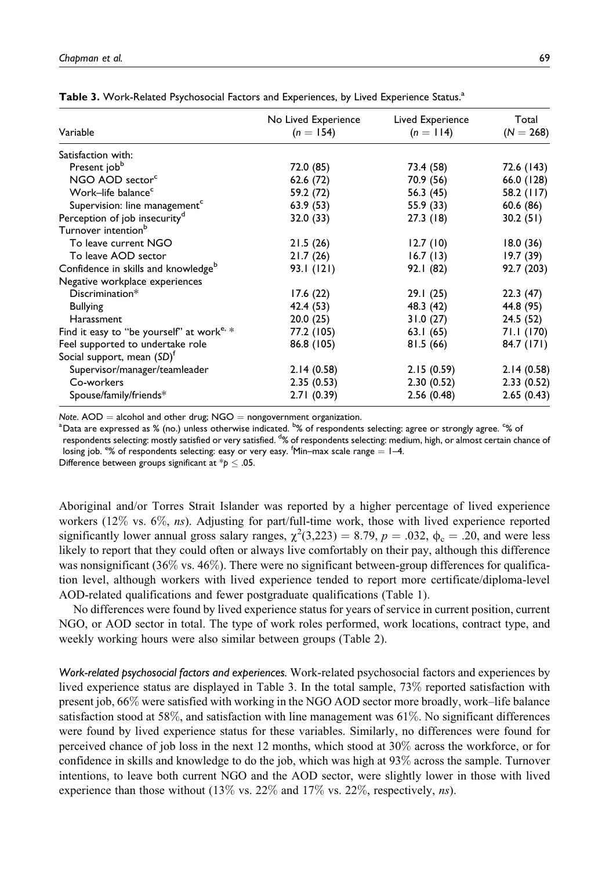| Variable                                              | No Lived Experience<br>$(n = 154)$ | Lived Experience<br>$(n = 114)$ | Total<br>$(N = 268)$ |
|-------------------------------------------------------|------------------------------------|---------------------------------|----------------------|
| Satisfaction with:                                    |                                    |                                 |                      |
| Present job <sup>b</sup>                              | 72.0 (85)                          | 73.4 (58)                       | 72.6 (143)           |
| NGO AOD sector <sup>c</sup>                           | 62.6 (72)                          | 70.9 (56)                       | 66.0 (128)           |
| Work-life balance <sup>c</sup>                        | 59.2 (72)                          | 56.3(45)                        | 58.2 (117)           |
| Supervision: line management <sup>c</sup>             | 63.9 (53)                          | 55.9 (33)                       | 60.6 (86)            |
| Perception of job insecurity <sup>d</sup>             | 32.0(33)                           | 27.3(18)                        | 30.2(51)             |
| Turnover intention <sup>b</sup>                       |                                    |                                 |                      |
| To leave current NGO                                  | 21.5(26)                           | 12.7(10)                        | 18.0(36)             |
| To leave AOD sector                                   | 21.7(26)                           | 16.7(13)                        | 19.7(39)             |
| Confidence in skills and knowledge <sup>b</sup>       | 93.1 (121)                         | 92.I (82)                       | 92.7 (203)           |
| Negative workplace experiences                        |                                    |                                 |                      |
| Discrimination*                                       | 17.6(22)                           | 29.1(25)                        | 22.3(47)             |
| <b>Bullying</b>                                       | 42.4 (53)                          | 48.3 (42)                       | 44.8 (95)            |
| Harassment                                            | 20.0(25)                           | 31.0(27)                        | 24.5 (52)            |
| Find it easy to "be yourself" at work <sup>e, *</sup> | 77.2 (105)                         | 63.1(65)                        | 71.1 (170)           |
| Feel supported to undertake role                      | 86.8 (105)                         | 81.5(66)                        | 84.7 (171)           |
| Social support, mean (SD) <sup>t</sup>                |                                    |                                 |                      |
| Supervisor/manager/teamleader                         | 2.14(0.58)                         | 2.15(0.59)                      | 2.14(0.58)           |
| Co-workers                                            | 2.35(0.53)                         | 2.30(0.52)                      | 2.33(0.52)           |
| Spouse/family/friends*                                | 2.71(0.39)                         | 2.56(0.48)                      | 2.65(0.43)           |

|  | Table 3. Work-Related Psychosocial Factors and Experiences, by Lived Experience Status. <sup>a</sup> |
|--|------------------------------------------------------------------------------------------------------|
|  |                                                                                                      |

Note.  $AOD =$  alcohol and other drug;  $NGO =$  nongovernment organization.

Data are expressed as % (no.) unless otherwise indicated. <sup>b</sup>% of respondents selecting: agree or strongly agree. <sup>c</sup>% of respondents selecting: mostly satisfied or very satisfied. <sup>d</sup>% of respondents selecting: medium, high, or almost certain chance of losing job. <sup>e</sup>% of respondents selecting: easy or very easy. <sup>f</sup>Min–max scale range = 1–4.

Difference between groups significant at  $p \leq .05$ .

Aboriginal and/or Torres Strait Islander was reported by a higher percentage of lived experience workers (12% vs.  $6\%$ , ns). Adjusting for part/full-time work, those with lived experience reported significantly lower annual gross salary ranges,  $\chi^2(3,223) = 8.79$ ,  $p = .032$ ,  $\phi_c = .20$ , and were less likely to report that they could often or always live comfortably on their pay, although this difference was nonsignificant  $(36\% \text{ vs. } 46\%)$ . There were no significant between-group differences for qualification level, although workers with lived experience tended to report more certificate/diploma-level AOD-related qualifications and fewer postgraduate qualifications (Table 1).

No differences were found by lived experience status for years of service in current position, current NGO, or AOD sector in total. The type of work roles performed, work locations, contract type, and weekly working hours were also similar between groups (Table 2).

Work-related psychosocial factors and experiences. Work-related psychosocial factors and experiences by lived experience status are displayed in Table 3. In the total sample, 73% reported satisfaction with present job, 66% were satisfied with working in the NGO AOD sector more broadly, work–life balance satisfaction stood at 58%, and satisfaction with line management was 61%. No significant differences were found by lived experience status for these variables. Similarly, no differences were found for perceived chance of job loss in the next 12 months, which stood at 30% across the workforce, or for confidence in skills and knowledge to do the job, which was high at 93% across the sample. Turnover intentions, to leave both current NGO and the AOD sector, were slightly lower in those with lived experience than those without (13% vs. 22% and 17% vs. 22%, respectively, *ns*).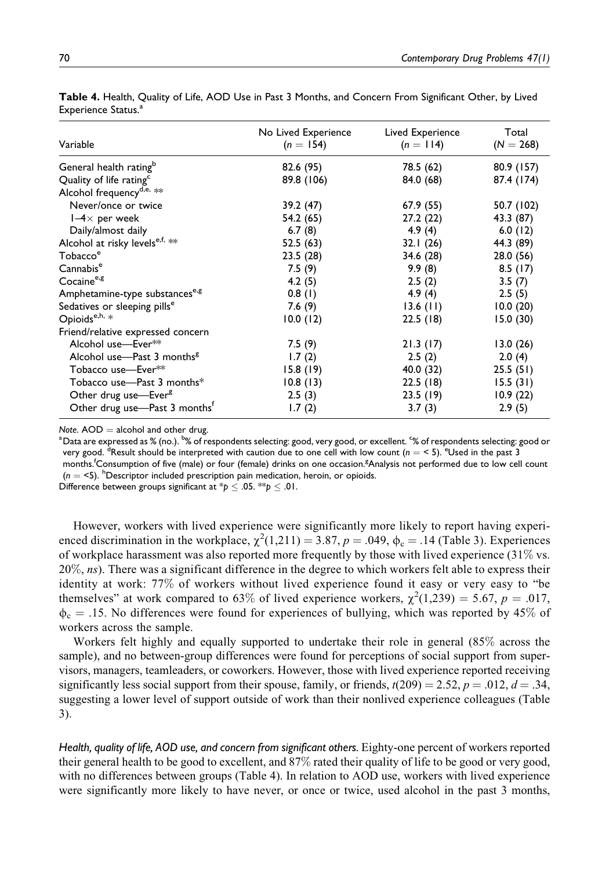| Variable                                   | No Lived Experience<br>$(n = 154)$ | Lived Experience<br>$(n = 114)$ | Total<br>$(N = 268)$ |
|--------------------------------------------|------------------------------------|---------------------------------|----------------------|
| General health rating <sup>b</sup>         | 82.6 (95)                          | 78.5 (62)                       | 80.9 (157)           |
| Quality of life rating <sup>c</sup>        | 89.8 (106)                         | 84.0 (68)                       | 87.4 (174)           |
| Alcohol frequency <sup>d,e, **</sup>       |                                    |                                 |                      |
| Never/once or twice                        | 39.2 (47)                          | 67.9 (55)                       | 50.7 (102)           |
| $1-4\times$ per week                       | 54.2 (65)                          | 27.2(22)                        | 43.3 (87)            |
| Daily/almost daily                         | 6.7(8)                             | 4.9(4)                          | 6.0(12)              |
| Alcohol at risky levelse,f, **             | 52.5 (63)                          | 32.I (26)                       | 44.3 (89)            |
| Tobacco <sup>e</sup>                       | 23.5(28)                           | 34.6 (28)                       | 28.0 (56)            |
| Cannabis <sup>e</sup>                      | 7.5(9)                             | 9.9(8)                          | 8.5(17)              |
| Cocaine <sup>e,g</sup>                     | 4.2(5)                             | 2.5(2)                          | 3.5(7)               |
| Amphetamine-type substances <sup>e,g</sup> | 0.8(1)                             | 4.9 $(4)$                       | 2.5(5)               |
| Sedatives or sleeping pills <sup>e</sup>   | 7.6(9)                             | $13.6$ (11)                     | 10.0(20)             |
| Opioids <sup>e,h, *</sup>                  | 10.0(12)                           | 22.5(18)                        | 15.0(30)             |
| Friend/relative expressed concern          |                                    |                                 |                      |
| Alcohol use-Ever**                         | 7.5(9)                             | 21.3(17)                        | 13.0(26)             |
| Alcohol use—Past 3 months <sup>8</sup>     | 1.7(2)                             | 2.5(2)                          | 2.0(4)               |
| Tobacco use-Ever**                         | 15.8(19)                           | 40.0 (32)                       | 25.5(51)             |
| Tobacco use-Past 3 months*                 | 10.8(13)                           | 22.5(18)                        | 15.5(31)             |
| Other drug use-Ever <sup>8</sup>           | 2.5(3)                             | 23.5(19)                        | 10.9(22)             |
| Other drug use-Past 3 months <sup>T</sup>  | 1.7(2)                             | 3.7(3)                          | 2.9(5)               |

Table 4. Health, Quality of Life, AOD Use in Past 3 Months, and Concern From Significant Other, by Lived Experience Status.<sup>5</sup>

Note. AOD = alcohol and other drug.<br>ªData are expressed as % (no.). <sup>b</sup>% of respondents selecting: good, very good, or excellent. <sup>c</sup>% of respondents selecting: good or very good. <sup>d</sup>Result should be interpreted with caution due to one cell with low count ( $n=<$  5). <sup>e</sup>Used in the past 3 months.<sup>f</sup>Consumption of five (male) or four (female) drinks on one occasion.<sup>g</sup>Analysis not performed due to low cell count  $(n = 5)$ . <sup>h</sup>Descriptor included prescription pain medication, heroin, or opioids. Difference between groups significant at  $p < .05$ . \*\*p  $< .01$ .

However, workers with lived experience were significantly more likely to report having experienced discrimination in the workplace,  $\chi^2(1,211) = 3.87, p = .049, \phi_c = .14$  (Table 3). Experiences of workplace harassment was also reported more frequently by those with lived experience  $(31\% \text{ vs.})$  $20\%,$  ns). There was a significant difference in the degree to which workers felt able to express their identity at work: 77% of workers without lived experience found it easy or very easy to "be themselves" at work compared to 63% of lived experience workers,  $\chi^2(1,239) = 5.67$ ,  $p = .017$ ,  $\phi_c = .15$ . No differences were found for experiences of bullying, which was reported by 45% of workers across the sample.

Workers felt highly and equally supported to undertake their role in general (85% across the sample), and no between-group differences were found for perceptions of social support from supervisors, managers, teamleaders, or coworkers. However, those with lived experience reported receiving significantly less social support from their spouse, family, or friends,  $t(209) = 2.52$ ,  $p = .012$ ,  $d = .34$ , suggesting a lower level of support outside of work than their nonlived experience colleagues (Table 3).

Health, quality of life, AOD use, and concern from significant others. Eighty-one percent of workers reported their general health to be good to excellent, and 87% rated their quality of life to be good or very good, with no differences between groups (Table 4). In relation to AOD use, workers with lived experience were significantly more likely to have never, or once or twice, used alcohol in the past 3 months,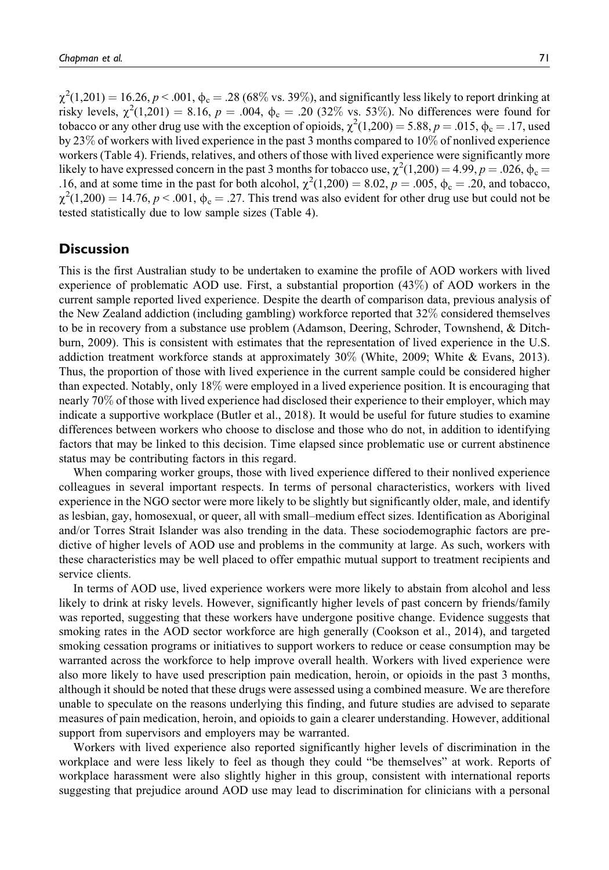$\chi^2(1,201) = 16.26, p < .001, \phi_c = .28$  (68% vs. 39%), and significantly less likely to report drinking at risky levels,  $\chi^2(1,201) = 8.16$ ,  $p = .004$ ,  $\phi_c = .20$  (32% vs. 53%). No differences were found for tobacco or any other drug use with the exception of opioids,  $\chi^2(1,200) = 5.88, p = .015, \phi_c = .17$ , used by 23% of workers with lived experience in the past 3 months compared to 10% of nonlived experience workers (Table 4). Friends, relatives, and others of those with lived experience were significantly more likely to have expressed concern in the past 3 months for tobacco use,  $\chi^2(1,200) = 4.99$ ,  $p = .026$ ,  $\phi_c =$ .16, and at some time in the past for both alcohol,  $\chi^2(1,200) = 8.02$ ,  $p = .005$ ,  $\phi_c = .20$ , and tobacco,  $\chi^2(1,200) = 14.76$ ,  $p < .001$ ,  $\phi_c = .27$ . This trend was also evident for other drug use but could not be tested statistically due to low sample sizes (Table 4).

# **Discussion**

This is the first Australian study to be undertaken to examine the profile of AOD workers with lived experience of problematic AOD use. First, a substantial proportion (43%) of AOD workers in the current sample reported lived experience. Despite the dearth of comparison data, previous analysis of the New Zealand addiction (including gambling) workforce reported that 32% considered themselves to be in recovery from a substance use problem (Adamson, Deering, Schroder, Townshend, & Ditchburn, 2009). This is consistent with estimates that the representation of lived experience in the U.S. addiction treatment workforce stands at approximately 30% (White, 2009; White & Evans, 2013). Thus, the proportion of those with lived experience in the current sample could be considered higher than expected. Notably, only 18% were employed in a lived experience position. It is encouraging that nearly 70% of those with lived experience had disclosed their experience to their employer, which may indicate a supportive workplace (Butler et al., 2018). It would be useful for future studies to examine differences between workers who choose to disclose and those who do not, in addition to identifying factors that may be linked to this decision. Time elapsed since problematic use or current abstinence status may be contributing factors in this regard.

When comparing worker groups, those with lived experience differed to their nonlived experience colleagues in several important respects. In terms of personal characteristics, workers with lived experience in the NGO sector were more likely to be slightly but significantly older, male, and identify as lesbian, gay, homosexual, or queer, all with small–medium effect sizes. Identification as Aboriginal and/or Torres Strait Islander was also trending in the data. These sociodemographic factors are predictive of higher levels of AOD use and problems in the community at large. As such, workers with these characteristics may be well placed to offer empathic mutual support to treatment recipients and service clients.

In terms of AOD use, lived experience workers were more likely to abstain from alcohol and less likely to drink at risky levels. However, significantly higher levels of past concern by friends/family was reported, suggesting that these workers have undergone positive change. Evidence suggests that smoking rates in the AOD sector workforce are high generally (Cookson et al., 2014), and targeted smoking cessation programs or initiatives to support workers to reduce or cease consumption may be warranted across the workforce to help improve overall health. Workers with lived experience were also more likely to have used prescription pain medication, heroin, or opioids in the past 3 months, although it should be noted that these drugs were assessed using a combined measure. We are therefore unable to speculate on the reasons underlying this finding, and future studies are advised to separate measures of pain medication, heroin, and opioids to gain a clearer understanding. However, additional support from supervisors and employers may be warranted.

Workers with lived experience also reported significantly higher levels of discrimination in the workplace and were less likely to feel as though they could "be themselves" at work. Reports of workplace harassment were also slightly higher in this group, consistent with international reports suggesting that prejudice around AOD use may lead to discrimination for clinicians with a personal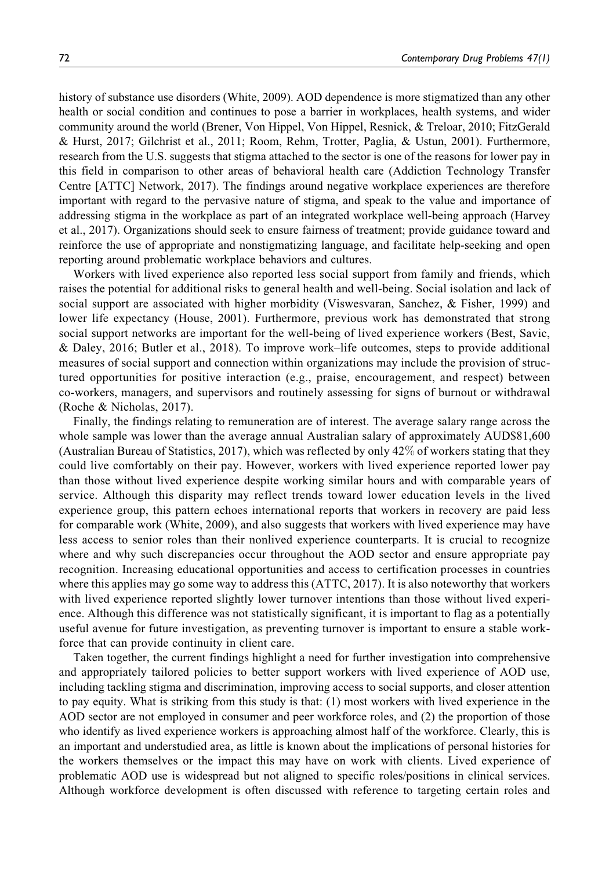history of substance use disorders (White, 2009). AOD dependence is more stigmatized than any other health or social condition and continues to pose a barrier in workplaces, health systems, and wider community around the world (Brener, Von Hippel, Von Hippel, Resnick, & Treloar, 2010; FitzGerald & Hurst, 2017; Gilchrist et al., 2011; Room, Rehm, Trotter, Paglia, & Ustun, 2001). Furthermore, research from the U.S. suggests that stigma attached to the sector is one of the reasons for lower pay in this field in comparison to other areas of behavioral health care (Addiction Technology Transfer Centre [ATTC] Network, 2017). The findings around negative workplace experiences are therefore important with regard to the pervasive nature of stigma, and speak to the value and importance of addressing stigma in the workplace as part of an integrated workplace well-being approach (Harvey et al., 2017). Organizations should seek to ensure fairness of treatment; provide guidance toward and reinforce the use of appropriate and nonstigmatizing language, and facilitate help-seeking and open reporting around problematic workplace behaviors and cultures.

Workers with lived experience also reported less social support from family and friends, which raises the potential for additional risks to general health and well-being. Social isolation and lack of social support are associated with higher morbidity (Viswesvaran, Sanchez, & Fisher, 1999) and lower life expectancy (House, 2001). Furthermore, previous work has demonstrated that strong social support networks are important for the well-being of lived experience workers (Best, Savic, & Daley, 2016; Butler et al., 2018). To improve work–life outcomes, steps to provide additional measures of social support and connection within organizations may include the provision of structured opportunities for positive interaction (e.g., praise, encouragement, and respect) between co-workers, managers, and supervisors and routinely assessing for signs of burnout or withdrawal (Roche & Nicholas, 2017).

Finally, the findings relating to remuneration are of interest. The average salary range across the whole sample was lower than the average annual Australian salary of approximately AUD\$81,600 (Australian Bureau of Statistics, 2017), which was reflected by only 42% of workers stating that they could live comfortably on their pay. However, workers with lived experience reported lower pay than those without lived experience despite working similar hours and with comparable years of service. Although this disparity may reflect trends toward lower education levels in the lived experience group, this pattern echoes international reports that workers in recovery are paid less for comparable work (White, 2009), and also suggests that workers with lived experience may have less access to senior roles than their nonlived experience counterparts. It is crucial to recognize where and why such discrepancies occur throughout the AOD sector and ensure appropriate pay recognition. Increasing educational opportunities and access to certification processes in countries where this applies may go some way to address this (ATTC, 2017). It is also noteworthy that workers with lived experience reported slightly lower turnover intentions than those without lived experience. Although this difference was not statistically significant, it is important to flag as a potentially useful avenue for future investigation, as preventing turnover is important to ensure a stable workforce that can provide continuity in client care.

Taken together, the current findings highlight a need for further investigation into comprehensive and appropriately tailored policies to better support workers with lived experience of AOD use, including tackling stigma and discrimination, improving access to social supports, and closer attention to pay equity. What is striking from this study is that: (1) most workers with lived experience in the AOD sector are not employed in consumer and peer workforce roles, and (2) the proportion of those who identify as lived experience workers is approaching almost half of the workforce. Clearly, this is an important and understudied area, as little is known about the implications of personal histories for the workers themselves or the impact this may have on work with clients. Lived experience of problematic AOD use is widespread but not aligned to specific roles/positions in clinical services. Although workforce development is often discussed with reference to targeting certain roles and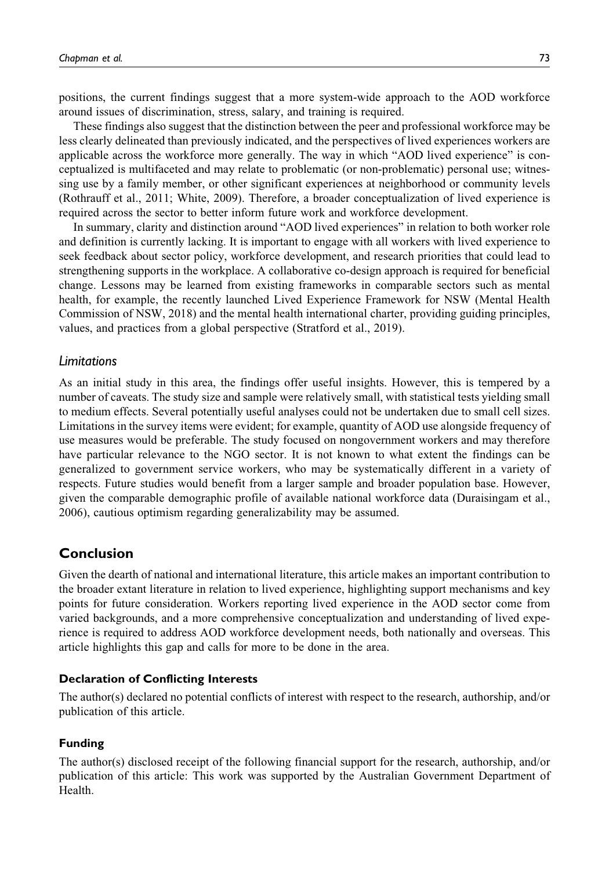positions, the current findings suggest that a more system-wide approach to the AOD workforce around issues of discrimination, stress, salary, and training is required.

These findings also suggest that the distinction between the peer and professional workforce may be less clearly delineated than previously indicated, and the perspectives of lived experiences workers are applicable across the workforce more generally. The way in which "AOD lived experience" is conceptualized is multifaceted and may relate to problematic (or non-problematic) personal use; witnessing use by a family member, or other significant experiences at neighborhood or community levels (Rothrauff et al., 2011; White, 2009). Therefore, a broader conceptualization of lived experience is required across the sector to better inform future work and workforce development.

In summary, clarity and distinction around "AOD lived experiences" in relation to both worker role and definition is currently lacking. It is important to engage with all workers with lived experience to seek feedback about sector policy, workforce development, and research priorities that could lead to strengthening supports in the workplace. A collaborative co-design approach is required for beneficial change. Lessons may be learned from existing frameworks in comparable sectors such as mental health, for example, the recently launched Lived Experience Framework for NSW (Mental Health Commission of NSW, 2018) and the mental health international charter, providing guiding principles, values, and practices from a global perspective (Stratford et al., 2019).

#### **Limitations**

As an initial study in this area, the findings offer useful insights. However, this is tempered by a number of caveats. The study size and sample were relatively small, with statistical tests yielding small to medium effects. Several potentially useful analyses could not be undertaken due to small cell sizes. Limitations in the survey items were evident; for example, quantity of AOD use alongside frequency of use measures would be preferable. The study focused on nongovernment workers and may therefore have particular relevance to the NGO sector. It is not known to what extent the findings can be generalized to government service workers, who may be systematically different in a variety of respects. Future studies would benefit from a larger sample and broader population base. However, given the comparable demographic profile of available national workforce data (Duraisingam et al., 2006), cautious optimism regarding generalizability may be assumed.

# Conclusion

Given the dearth of national and international literature, this article makes an important contribution to the broader extant literature in relation to lived experience, highlighting support mechanisms and key points for future consideration. Workers reporting lived experience in the AOD sector come from varied backgrounds, and a more comprehensive conceptualization and understanding of lived experience is required to address AOD workforce development needs, both nationally and overseas. This article highlights this gap and calls for more to be done in the area.

#### Declaration of Conflicting Interests

The author(s) declared no potential conflicts of interest with respect to the research, authorship, and/or publication of this article.

#### Funding

The author(s) disclosed receipt of the following financial support for the research, authorship, and/or publication of this article: This work was supported by the Australian Government Department of Health.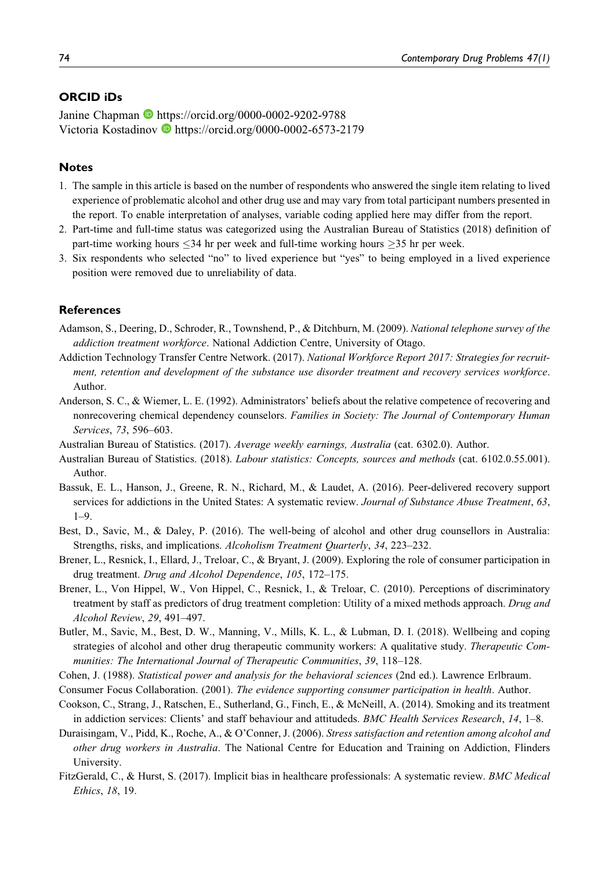#### ORCID iDs

Janine Chapman  $\bullet$  <https://orcid.org/0000-0002-9202-9788> Victoria Kostadinov D<https://orcid.org/0000-0002-6573-2179>

#### **Notes**

- 1. The sample in this article is based on the number of respondents who answered the single item relating to lived experience of problematic alcohol and other drug use and may vary from total participant numbers presented in the report. To enable interpretation of analyses, variable coding applied here may differ from the report.
- 2. Part-time and full-time status was categorized using the Australian Bureau of Statistics (2018) definition of part-time working hours  $\leq$ 34 hr per week and full-time working hours  $\geq$ 35 hr per week.
- 3. Six respondents who selected "no" to lived experience but "yes" to being employed in a lived experience position were removed due to unreliability of data.

#### **References**

- Adamson, S., Deering, D., Schroder, R., Townshend, P., & Ditchburn, M. (2009). National telephone survey of the addiction treatment workforce. National Addiction Centre, University of Otago.
- Addiction Technology Transfer Centre Network. (2017). National Workforce Report 2017: Strategies for recruitment, retention and development of the substance use disorder treatment and recovery services workforce. Author.
- Anderson, S. C., & Wiemer, L. E. (1992). Administrators' beliefs about the relative competence of recovering and nonrecovering chemical dependency counselors. Families in Society: The Journal of Contemporary Human Services, 73, 596–603.
- Australian Bureau of Statistics. (2017). Average weekly earnings, Australia (cat. 6302.0). Author.
- Australian Bureau of Statistics. (2018). Labour statistics: Concepts, sources and methods (cat. 6102.0.55.001). Author.
- Bassuk, E. L., Hanson, J., Greene, R. N., Richard, M., & Laudet, A. (2016). Peer-delivered recovery support services for addictions in the United States: A systematic review. Journal of Substance Abuse Treatment, 63, 1–9.
- Best, D., Savic, M., & Daley, P. (2016). The well-being of alcohol and other drug counsellors in Australia: Strengths, risks, and implications. Alcoholism Treatment Quarterly, 34, 223–232.
- Brener, L., Resnick, I., Ellard, J., Treloar, C., & Bryant, J. (2009). Exploring the role of consumer participation in drug treatment. Drug and Alcohol Dependence, 105, 172–175.
- Brener, L., Von Hippel, W., Von Hippel, C., Resnick, I., & Treloar, C. (2010). Perceptions of discriminatory treatment by staff as predictors of drug treatment completion: Utility of a mixed methods approach. Drug and Alcohol Review, 29, 491–497.
- Butler, M., Savic, M., Best, D. W., Manning, V., Mills, K. L., & Lubman, D. I. (2018). Wellbeing and coping strategies of alcohol and other drug therapeutic community workers: A qualitative study. Therapeutic Communities: The International Journal of Therapeutic Communities, 39, 118–128.
- Cohen, J. (1988). Statistical power and analysis for the behavioral sciences (2nd ed.). Lawrence Erlbraum.
- Consumer Focus Collaboration. (2001). The evidence supporting consumer participation in health. Author.
- Cookson, C., Strang, J., Ratschen, E., Sutherland, G., Finch, E., & McNeill, A. (2014). Smoking and its treatment in addiction services: Clients' and staff behaviour and attitudeds. BMC Health Services Research, 14, 1–8.
- Duraisingam, V., Pidd, K., Roche, A., & O'Conner, J. (2006). Stress satisfaction and retention among alcohol and other drug workers in Australia. The National Centre for Education and Training on Addiction, Flinders University.
- FitzGerald, C., & Hurst, S. (2017). Implicit bias in healthcare professionals: A systematic review. BMC Medical Ethics, 18, 19.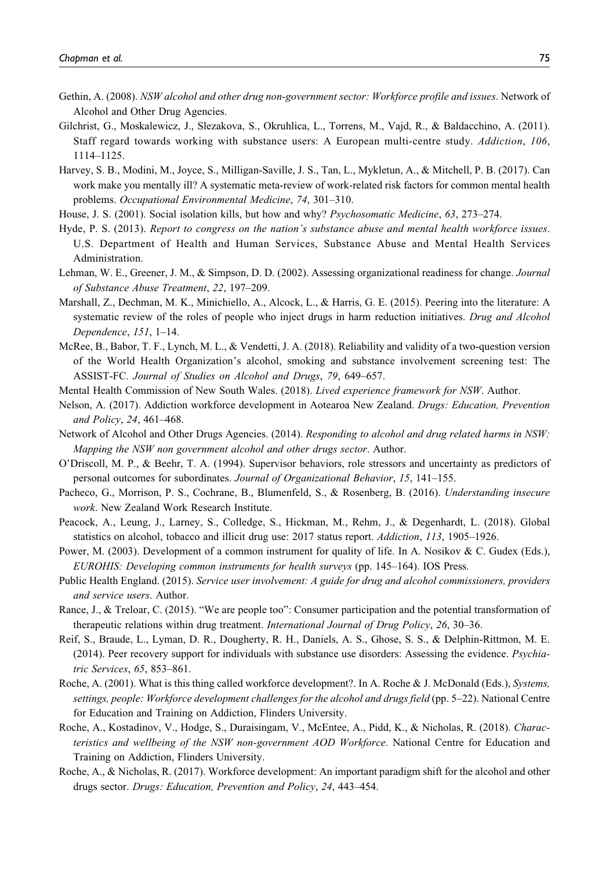- Gethin, A. (2008). NSW alcohol and other drug non-government sector: Workforce profile and issues. Network of Alcohol and Other Drug Agencies.
- Gilchrist, G., Moskalewicz, J., Slezakova, S., Okruhlica, L., Torrens, M., Vajd, R., & Baldacchino, A. (2011). Staff regard towards working with substance users: A European multi-centre study. Addiction, 106, 1114–1125.
- Harvey, S. B., Modini, M., Joyce, S., Milligan-Saville, J. S., Tan, L., Mykletun, A., & Mitchell, P. B. (2017). Can work make you mentally ill? A systematic meta-review of work-related risk factors for common mental health problems. Occupational Environmental Medicine, 74, 301–310.
- House, J. S. (2001). Social isolation kills, but how and why? Psychosomatic Medicine, 63, 273–274.
- Hyde, P. S. (2013). Report to congress on the nation's substance abuse and mental health workforce issues. U.S. Department of Health and Human Services, Substance Abuse and Mental Health Services Administration.
- Lehman, W. E., Greener, J. M., & Simpson, D. D. (2002). Assessing organizational readiness for change. Journal of Substance Abuse Treatment, 22, 197–209.
- Marshall, Z., Dechman, M. K., Minichiello, A., Alcock, L., & Harris, G. E. (2015). Peering into the literature: A systematic review of the roles of people who inject drugs in harm reduction initiatives. Drug and Alcohol Dependence, 151, 1–14.
- McRee, B., Babor, T. F., Lynch, M. L., & Vendetti, J. A. (2018). Reliability and validity of a two-question version of the World Health Organization's alcohol, smoking and substance involvement screening test: The ASSIST-FC. Journal of Studies on Alcohol and Drugs, 79, 649–657.
- Mental Health Commission of New South Wales. (2018). Lived experience framework for NSW. Author.
- Nelson, A. (2017). Addiction workforce development in Aotearoa New Zealand. Drugs: Education, Prevention and Policy, 24, 461–468.
- Network of Alcohol and Other Drugs Agencies. (2014). Responding to alcohol and drug related harms in NSW: Mapping the NSW non government alcohol and other drugs sector. Author.
- O'Driscoll, M. P., & Beehr, T. A. (1994). Supervisor behaviors, role stressors and uncertainty as predictors of personal outcomes for subordinates. Journal of Organizational Behavior, 15, 141–155.
- Pacheco, G., Morrison, P. S., Cochrane, B., Blumenfeld, S., & Rosenberg, B. (2016). Understanding insecure work. New Zealand Work Research Institute.
- Peacock, A., Leung, J., Larney, S., Colledge, S., Hickman, M., Rehm, J., & Degenhardt, L. (2018). Global statistics on alcohol, tobacco and illicit drug use: 2017 status report. Addiction, 113, 1905–1926.
- Power, M. (2003). Development of a common instrument for quality of life. In A. Nosikov & C. Gudex (Eds.), EUROHIS: Developing common instruments for health surveys (pp. 145–164). IOS Press.
- Public Health England. (2015). Service user involvement: A guide for drug and alcohol commissioners, providers and service users. Author.
- Rance, J., & Treloar, C. (2015). "We are people too": Consumer participation and the potential transformation of therapeutic relations within drug treatment. International Journal of Drug Policy, 26, 30–36.
- Reif, S., Braude, L., Lyman, D. R., Dougherty, R. H., Daniels, A. S., Ghose, S. S., & Delphin-Rittmon, M. E. (2014). Peer recovery support for individuals with substance use disorders: Assessing the evidence. Psychiatric Services, 65, 853–861.
- Roche, A. (2001). What is this thing called workforce development?. In A. Roche & J. McDonald (Eds.), Systems, settings, people: Workforce development challenges for the alcohol and drugs field (pp. 5–22). National Centre for Education and Training on Addiction, Flinders University.
- Roche, A., Kostadinov, V., Hodge, S., Duraisingam, V., McEntee, A., Pidd, K., & Nicholas, R. (2018). Characteristics and wellbeing of the NSW non-government AOD Workforce. National Centre for Education and Training on Addiction, Flinders University.
- Roche, A., & Nicholas, R. (2017). Workforce development: An important paradigm shift for the alcohol and other drugs sector. Drugs: Education, Prevention and Policy, 24, 443–454.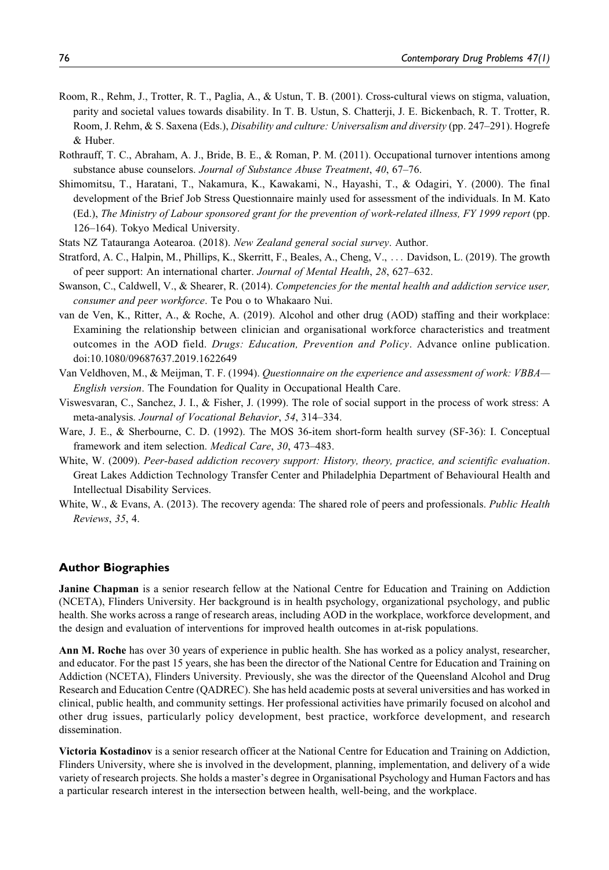- Room, R., Rehm, J., Trotter, R. T., Paglia, A., & Ustun, T. B. (2001). Cross-cultural views on stigma, valuation, parity and societal values towards disability. In T. B. Ustun, S. Chatterji, J. E. Bickenbach, R. T. Trotter, R. Room, J. Rehm, & S. Saxena (Eds.), *Disability and culture: Universalism and diversity* (pp. 247–291). Hogrefe & Huber.
- Rothrauff, T. C., Abraham, A. J., Bride, B. E., & Roman, P. M. (2011). Occupational turnover intentions among substance abuse counselors. Journal of Substance Abuse Treatment, 40, 67-76.
- Shimomitsu, T., Haratani, T., Nakamura, K., Kawakami, N., Hayashi, T., & Odagiri, Y. (2000). The final development of the Brief Job Stress Questionnaire mainly used for assessment of the individuals. In M. Kato (Ed.), The Ministry of Labour sponsored grant for the prevention of work-related illness, FY 1999 report (pp. 126–164). Tokyo Medical University.
- Stats NZ Tatauranga Aotearoa. (2018). New Zealand general social survey. Author.
- Stratford, A. C., Halpin, M., Phillips, K., Skerritt, F., Beales, A., Cheng, V., ... Davidson, L. (2019). The growth of peer support: An international charter. Journal of Mental Health, 28, 627–632.
- Swanson, C., Caldwell, V., & Shearer, R. (2014). Competencies for the mental health and addiction service user, consumer and peer workforce. Te Pou o to Whakaaro Nui.
- van de Ven, K., Ritter, A., & Roche, A. (2019). Alcohol and other drug (AOD) staffing and their workplace: Examining the relationship between clinician and organisational workforce characteristics and treatment outcomes in the AOD field. Drugs: Education, Prevention and Policy. Advance online publication. doi:10.1080/09687637.2019.1622649
- Van Veldhoven, M., & Meijman, T. F. (1994). Questionnaire on the experience and assessment of work: VBBA— English version. The Foundation for Quality in Occupational Health Care.
- Viswesvaran, C., Sanchez, J. I., & Fisher, J. (1999). The role of social support in the process of work stress: A meta-analysis. Journal of Vocational Behavior, 54, 314–334.
- Ware, J. E., & Sherbourne, C. D. (1992). The MOS 36-item short-form health survey (SF-36): I. Conceptual framework and item selection. Medical Care, 30, 473–483.
- White, W. (2009). Peer-based addiction recovery support: History, theory, practice, and scientific evaluation. Great Lakes Addiction Technology Transfer Center and Philadelphia Department of Behavioural Health and Intellectual Disability Services.
- White, W., & Evans, A. (2013). The recovery agenda: The shared role of peers and professionals. Public Health Reviews, 35, 4.

#### Author Biographies

Janine Chapman is a senior research fellow at the National Centre for Education and Training on Addiction (NCETA), Flinders University. Her background is in health psychology, organizational psychology, and public health. She works across a range of research areas, including AOD in the workplace, workforce development, and the design and evaluation of interventions for improved health outcomes in at-risk populations.

Ann M. Roche has over 30 years of experience in public health. She has worked as a policy analyst, researcher, and educator. For the past 15 years, she has been the director of the National Centre for Education and Training on Addiction (NCETA), Flinders University. Previously, she was the director of the Queensland Alcohol and Drug Research and Education Centre (QADREC). She has held academic posts at several universities and has worked in clinical, public health, and community settings. Her professional activities have primarily focused on alcohol and other drug issues, particularly policy development, best practice, workforce development, and research dissemination.

Victoria Kostadinov is a senior research officer at the National Centre for Education and Training on Addiction, Flinders University, where she is involved in the development, planning, implementation, and delivery of a wide variety of research projects. She holds a master's degree in Organisational Psychology and Human Factors and has a particular research interest in the intersection between health, well-being, and the workplace.